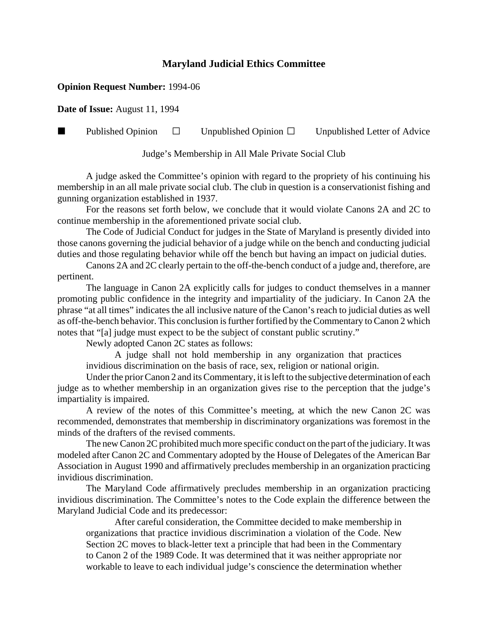## **Maryland Judicial Ethics Committee**

## **Opinion Request Number:** 1994-06

**Date of Issue:** August 11, 1994

**Published Opinion**  $\Box$  Unpublished Opinion  $\Box$  Unpublished Letter of Advice

Judge's Membership in All Male Private Social Club

A judge asked the Committee's opinion with regard to the propriety of his continuing his membership in an all male private social club. The club in question is a conservationist fishing and gunning organization established in 1937.

For the reasons set forth below, we conclude that it would violate Canons 2A and 2C to continue membership in the aforementioned private social club.

The Code of Judicial Conduct for judges in the State of Maryland is presently divided into those canons governing the judicial behavior of a judge while on the bench and conducting judicial duties and those regulating behavior while off the bench but having an impact on judicial duties.

Canons 2A and 2C clearly pertain to the off-the-bench conduct of a judge and, therefore, are pertinent.

The language in Canon 2A explicitly calls for judges to conduct themselves in a manner promoting public confidence in the integrity and impartiality of the judiciary. In Canon 2A the phrase "at all times" indicates the all inclusive nature of the Canon's reach to judicial duties as well as off-the-bench behavior. This conclusion is further fortified by the Commentary to Canon 2 which notes that "[a] judge must expect to be the subject of constant public scrutiny."

Newly adopted Canon 2C states as follows:

A judge shall not hold membership in any organization that practices invidious discrimination on the basis of race, sex, religion or national origin.

Under the prior Canon 2 and its Commentary, it is left to the subjective determination of each judge as to whether membership in an organization gives rise to the perception that the judge's impartiality is impaired.

A review of the notes of this Committee's meeting, at which the new Canon 2C was recommended, demonstrates that membership in discriminatory organizations was foremost in the minds of the drafters of the revised comments.

The new Canon 2C prohibited much more specific conduct on the part of the judiciary. It was modeled after Canon 2C and Commentary adopted by the House of Delegates of the American Bar Association in August 1990 and affirmatively precludes membership in an organization practicing invidious discrimination.

The Maryland Code affirmatively precludes membership in an organization practicing invidious discrimination. The Committee's notes to the Code explain the difference between the Maryland Judicial Code and its predecessor:

After careful consideration, the Committee decided to make membership in organizations that practice invidious discrimination a violation of the Code. New Section 2C moves to black-letter text a principle that had been in the Commentary to Canon 2 of the 1989 Code. It was determined that it was neither appropriate nor workable to leave to each individual judge's conscience the determination whether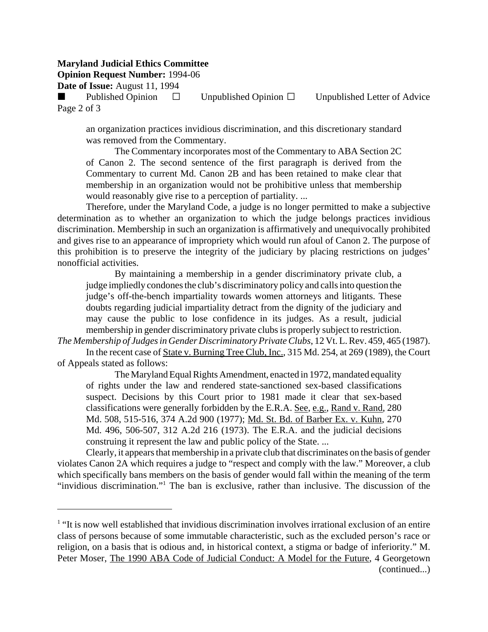## **Maryland Judicial Ethics Committee**

**Opinion Request Number:** 1994-06

**Date of Issue:** August 11, 1994

Published Opinion  $\Box$  Unpublished Opinion  $\Box$  Unpublished Letter of Advice Page 2 of 3

an organization practices invidious discrimination, and this discretionary standard was removed from the Commentary.

The Commentary incorporates most of the Commentary to ABA Section 2C of Canon 2. The second sentence of the first paragraph is derived from the Commentary to current Md. Canon 2B and has been retained to make clear that membership in an organization would not be prohibitive unless that membership would reasonably give rise to a perception of partiality. ...

Therefore, under the Maryland Code, a judge is no longer permitted to make a subjective determination as to whether an organization to which the judge belongs practices invidious discrimination. Membership in such an organization is affirmatively and unequivocally prohibited and gives rise to an appearance of impropriety which would run afoul of Canon 2. The purpose of this prohibition is to preserve the integrity of the judiciary by placing restrictions on judges' nonofficial activities.

By maintaining a membership in a gender discriminatory private club, a judge impliedly condones the club's discriminatory policy and calls into question the judge's off-the-bench impartiality towards women attorneys and litigants. These doubts regarding judicial impartiality detract from the dignity of the judiciary and may cause the public to lose confidence in its judges. As a result, judicial membership in gender discriminatory private clubs is properly subject to restriction.

*The Membership of Judges in Gender Discriminatory Private Clubs*, 12 Vt. L. Rev. 459, 465 (1987). In the recent case of State v. Burning Tree Club, Inc., 315 Md. 254, at 269 (1989), the Court

of Appeals stated as follows:

The Maryland Equal Rights Amendment, enacted in 1972, mandated equality of rights under the law and rendered state-sanctioned sex-based classifications suspect. Decisions by this Court prior to 1981 made it clear that sex-based classifications were generally forbidden by the E.R.A. See, e.g., Rand v. Rand, 280 Md. 508, 515-516, 374 A.2d 900 (1977); Md. St. Bd. of Barber Ex. v. Kuhn, 270 Md. 496, 506-507, 312 A.2d 216 (1973). The E.R.A. and the judicial decisions construing it represent the law and public policy of the State. ...

Clearly, it appears that membership in a private club that discriminates on the basis of gender violates Canon 2A which requires a judge to "respect and comply with the law." Moreover, a club which specifically bans members on the basis of gender would fall within the meaning of the term "invidious discrimination."<sup>1</sup> The ban is exclusive, rather than inclusive. The discussion of the

<sup>&</sup>lt;sup>1</sup> "It is now well established that invidious discrimination involves irrational exclusion of an entire class of persons because of some immutable characteristic, such as the excluded person's race or religion, on a basis that is odious and, in historical context, a stigma or badge of inferiority." M. Peter Moser, The 1990 ABA Code of Judicial Conduct: A Model for the Future, 4 Georgetown (continued...)